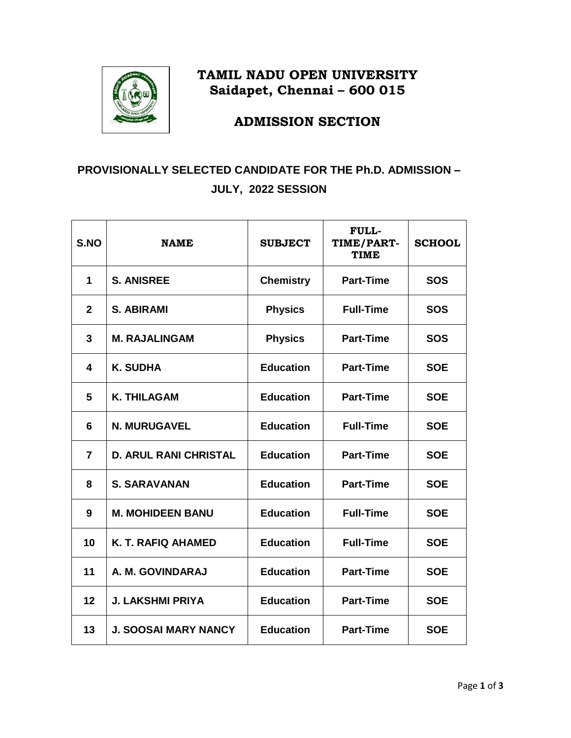

## **TAMIL NADU OPEN UNIVERSITY Saidapet, Chennai – 600 015**

**ADMISSION SECTION**

## **PROVISIONALLY SELECTED CANDIDATE FOR THE Ph.D. ADMISSION – JULY, 2022 SESSION**

| S.NO           | <b>NAME</b>                                                          | <b>SUBJECT</b>                       | <b>FULL-</b><br>TIME/PART-<br><b>TIME</b> | <b>SCHOOL</b> |
|----------------|----------------------------------------------------------------------|--------------------------------------|-------------------------------------------|---------------|
| $\mathbf{1}$   | <b>S. ANISREE</b>                                                    | <b>Chemistry</b>                     | <b>Part-Time</b>                          | <b>SOS</b>    |
| $\overline{2}$ | <b>S. ABIRAMI</b>                                                    | <b>Physics</b><br><b>Full-Time</b>   |                                           | <b>SOS</b>    |
| 3              | <b>M. RAJALINGAM</b>                                                 | <b>Physics</b>                       | <b>Part-Time</b>                          | <b>SOS</b>    |
| 4              | <b>K. SUDHA</b>                                                      | <b>Education</b>                     | <b>Part-Time</b>                          | <b>SOE</b>    |
| 5              | <b>K. THILAGAM</b>                                                   | <b>Education</b>                     | <b>Part-Time</b>                          | <b>SOE</b>    |
| 6              | <b>N. MURUGAVEL</b>                                                  | <b>Education</b>                     | <b>Full-Time</b>                          | <b>SOE</b>    |
| $\overline{7}$ | <b>Education</b><br><b>Part-Time</b><br><b>D. ARUL RANI CHRISTAL</b> |                                      | <b>SOE</b>                                |               |
| 8              | <b>Education</b><br><b>S. SARAVANAN</b>                              |                                      | <b>Part-Time</b>                          | <b>SOE</b>    |
| 9              | <b>M. MOHIDEEN BANU</b>                                              | <b>Education</b>                     | <b>Full-Time</b>                          | <b>SOE</b>    |
| 10             | K. T. RAFIQ AHAMED                                                   | <b>Education</b><br><b>Full-Time</b> |                                           | <b>SOE</b>    |
| 11             | A. M. GOVINDARAJ                                                     | <b>Education</b><br><b>Part-Time</b> |                                           | <b>SOE</b>    |
| 12             | <b>J. LAKSHMI PRIYA</b><br><b>Education</b>                          |                                      | <b>Part-Time</b>                          | <b>SOE</b>    |
| 13             | <b>J. SOOSAI MARY NANCY</b><br><b>Education</b>                      |                                      | <b>Part-Time</b>                          | <b>SOE</b>    |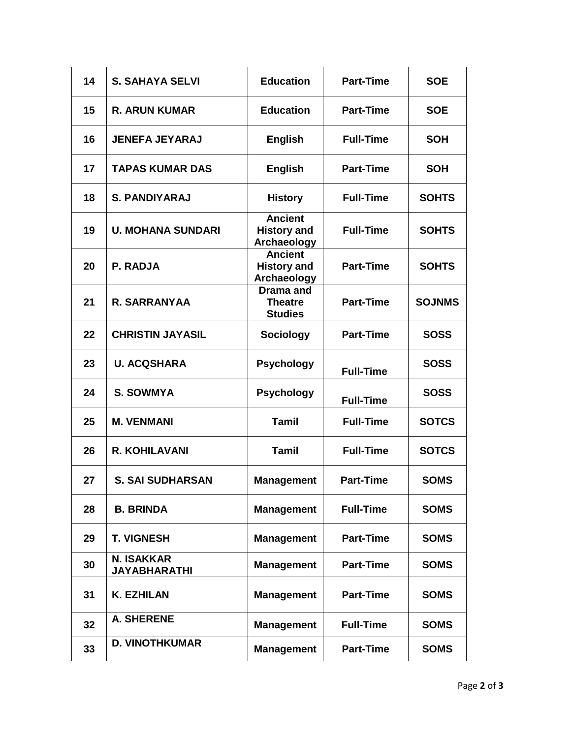| 14 | <b>S. SAHAYA SELVI</b>                   | <b>Education</b>                                    | <b>Part-Time</b> | <b>SOE</b>    |
|----|------------------------------------------|-----------------------------------------------------|------------------|---------------|
| 15 | <b>R. ARUN KUMAR</b>                     | <b>Education</b>                                    | <b>Part-Time</b> | <b>SOE</b>    |
| 16 | <b>JENEFA JEYARAJ</b>                    | <b>English</b>                                      | <b>Full-Time</b> | <b>SOH</b>    |
| 17 | <b>TAPAS KUMAR DAS</b>                   | <b>English</b>                                      | <b>Part-Time</b> | <b>SOH</b>    |
| 18 | <b>S. PANDIYARAJ</b>                     | <b>History</b>                                      | <b>Full-Time</b> | <b>SOHTS</b>  |
| 19 | <b>U. MOHANA SUNDARI</b>                 | <b>Ancient</b><br><b>History and</b><br>Archaeology | <b>Full-Time</b> | <b>SOHTS</b>  |
| 20 | <b>P. RADJA</b>                          | <b>Ancient</b><br><b>History and</b><br>Archaeology | <b>Part-Time</b> | <b>SOHTS</b>  |
| 21 | R. SARRANYAA                             | Drama and<br><b>Theatre</b><br><b>Studies</b>       | <b>Part-Time</b> | <b>SOJNMS</b> |
| 22 | <b>CHRISTIN JAYASIL</b>                  | <b>Sociology</b>                                    | <b>Part-Time</b> | <b>SOSS</b>   |
| 23 | <b>U. ACQSHARA</b>                       | <b>Psychology</b>                                   | <b>Full-Time</b> | <b>SOSS</b>   |
| 24 | <b>S. SOWMYA</b>                         | <b>Psychology</b>                                   | <b>Full-Time</b> | <b>SOSS</b>   |
| 25 | <b>M. VENMANI</b>                        | <b>Tamil</b>                                        | <b>Full-Time</b> | <b>SOTCS</b>  |
| 26 | <b>R. KOHILAVANI</b>                     | <b>Tamil</b>                                        | <b>Full-Time</b> | <b>SOTCS</b>  |
| 27 | <b>S. SAI SUDHARSAN</b>                  | <b>Management</b>                                   | <b>Part-Time</b> | <b>SOMS</b>   |
| 28 | <b>B. BRINDA</b>                         | <b>Management</b>                                   | <b>Full-Time</b> | <b>SOMS</b>   |
| 29 | <b>T. VIGNESH</b>                        | <b>Management</b>                                   | <b>Part-Time</b> | <b>SOMS</b>   |
| 30 | <b>N. ISAKKAR</b><br><b>JAYABHARATHI</b> | <b>Management</b>                                   | <b>Part-Time</b> | <b>SOMS</b>   |
| 31 | <b>K. EZHILAN</b>                        | <b>Management</b>                                   | <b>Part-Time</b> | <b>SOMS</b>   |
| 32 | <b>A. SHERENE</b>                        | <b>Management</b>                                   | <b>Full-Time</b> | <b>SOMS</b>   |
| 33 | <b>D. VINOTHKUMAR</b>                    | <b>Management</b>                                   | <b>Part-Time</b> | <b>SOMS</b>   |